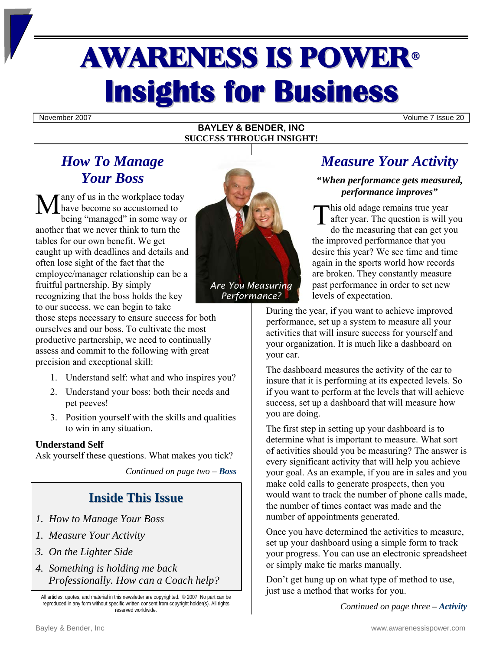# AWARENESS IS POWER<sup>ü</sup> **Insights for Business**

November 2007 Volume 7 Issue 20 | Volume 7 Issue 20 | Volume 7 Issue 20 | Volume 7 Issue 20 | Volume 7 Issue 20 | Volume 7 Issue 20 | Volume 7 Issue 20 | Volume 7 Issue 20 | Volume 7 Issue 20 | Volume 7 Issue 20 | Volume 7

#### **BAYLEY & BENDER, INC SUCCESS THROUGH INSIGHT!**

## *How To Manage Your Boss*

M any of us in the workplace today<br>
being "managed" in some way or<br>
another that we never think to turn the have become so accustomed to being "managed" in some way or another that we never think to turn the tables for our own benefit. We get caught up with deadlines and details and often lose sight of the fact that the employee/manager relationship can be a fruitful partnership. By simply recognizing that the boss holds the key to our success, we can begin to take

those steps necessary to ensure success for both ourselves and our boss. To cultivate the most productive partnership, we need to continually assess and commit to the following with great precision and exceptional skill:

- 1. Understand self: what and who inspires you?
- 2. Understand your boss: both their needs and pet peeves!
- 3. Position yourself with the skills and qualities to win in any situation.

#### **Understand Self**

Ask yourself these questions. What makes you tick?

*Continued on page two – Boss*

### **Inside This Issue**

- *1. How to Manage Your Boss*
- *1. Measure Your Activity*
- *3. On the Lighter Side*
- *4. Something is holding me back Professionally. How can a Coach help?*

All articles, quotes, and material in this newsletter are copyrighted. © 2007. No part can be reproduced in any form without specific written consent from copyright holder(s). All rights reserved worldwide.



*Performance?* 

## *Measure Your Activity*

#### *"When performance gets measured, performance improves"*

his old adage remains true year after year. The question is will you do the measuring that can get you the improved performance that you desire this year? We see time and time again in the sports world how records are broken. They constantly measure past performance in order to set new levels of expectation.

During the year, if you want to achieve improved performance, set up a system to measure all your activities that will insure success for yourself and your organization. It is much like a dashboard on your car.

The dashboard measures the activity of the car to insure that it is performing at its expected levels. So if you want to perform at the levels that will achieve success, set up a dashboard that will measure how you are doing.

The first step in setting up your dashboard is to determine what is important to measure. What sort of activities should you be measuring? The answer is every significant activity that will help you achieve your goal. As an example, if you are in sales and you make cold calls to generate prospects, then you would want to track the number of phone calls made, the number of times contact was made and the number of appointments generated.

Once you have determined the activities to measure, set up your dashboard using a simple form to track your progress. You can use an electronic spreadsheet or simply make tic marks manually.

Don't get hung up on what type of method to use, just use a method that works for you.

*Continued on page three – Activity*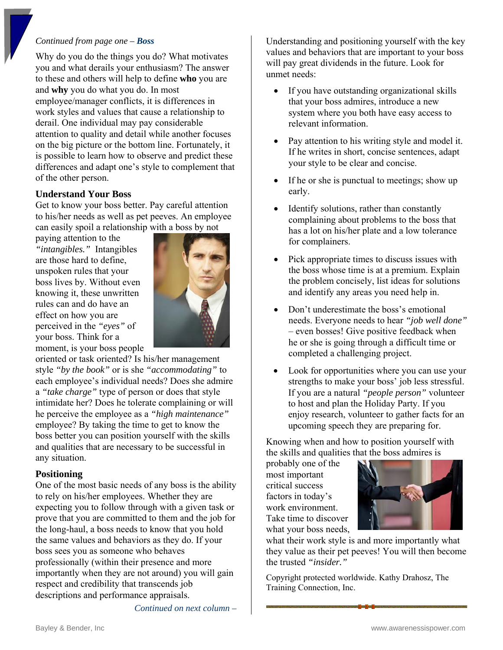#### *Continued from page one – Boss*

Why do you do the things you do? What motivates you and what derails your enthusiasm? The answer to these and others will help to define **who** you are and **why** you do what you do. In most employee/manager conflicts, it is differences in work styles and values that cause a relationship to derail. One individual may pay considerable attention to quality and detail while another focuses on the big picture or the bottom line. Fortunately, it is possible to learn how to observe and predict these differences and adapt one's style to complement that of the other person.

#### **Understand Your Boss**

Get to know your boss better. Pay careful attention to his/her needs as well as pet peeves. An employee can easily spoil a relationship with a boss by not

paying attention to the *"intangibles."* Intangibles are those hard to define, unspoken rules that your boss lives by. Without even knowing it, these unwritten rules can and do have an effect on how you are perceived in the *"eyes"* of your boss. Think for a moment, is your boss people



oriented or task oriented? Is his/her management style *"by the book"* or is she *"accommodating"* to each employee's individual needs? Does she admire a *"take charge"* type of person or does that style intimidate her? Does he tolerate complaining or will he perceive the employee as a *"high maintenance"*  employee? By taking the time to get to know the boss better you can position yourself with the skills and qualities that are necessary to be successful in any situation.

#### **Positioning**

One of the most basic needs of any boss is the ability to rely on his/her employees. Whether they are expecting you to follow through with a given task or prove that you are committed to them and the job for the long-haul, a boss needs to know that you hold the same values and behaviors as they do. If your boss sees you as someone who behaves professionally (within their presence and more importantly when they are not around) you will gain respect and credibility that transcends job descriptions and performance appraisals.

*Continued on next column –* 

Understanding and positioning yourself with the key values and behaviors that are important to your boss will pay great dividends in the future. Look for unmet needs:

- If you have outstanding organizational skills that your boss admires, introduce a new system where you both have easy access to relevant information.
- Pay attention to his writing style and model it. If he writes in short, concise sentences, adapt your style to be clear and concise.
- If he or she is punctual to meetings; show up early.
- Identify solutions, rather than constantly complaining about problems to the boss that has a lot on his/her plate and a low tolerance for complainers.
- Pick appropriate times to discuss issues with the boss whose time is at a premium. Explain the problem concisely, list ideas for solutions and identify any areas you need help in.
- Don't underestimate the boss's emotional needs. Everyone needs to hear *"job well done"*  – even bosses! Give positive feedback when he or she is going through a difficult time or completed a challenging project.
- Look for opportunities where you can use your strengths to make your boss' job less stressful. If you are a natural *"people person"* volunteer to host and plan the Holiday Party. If you enjoy research, volunteer to gather facts for an upcoming speech they are preparing for.

Knowing when and how to position yourself with the skills and qualities that the boss admires is

probably one of the most important critical success factors in today's work environment. Take time to discover what your boss needs,



what their work style is and more importantly what they value as their pet peeves! You will then become the trusted *"insider."*

Copyright protected worldwide. Kathy Drahosz, The Training Connection, Inc.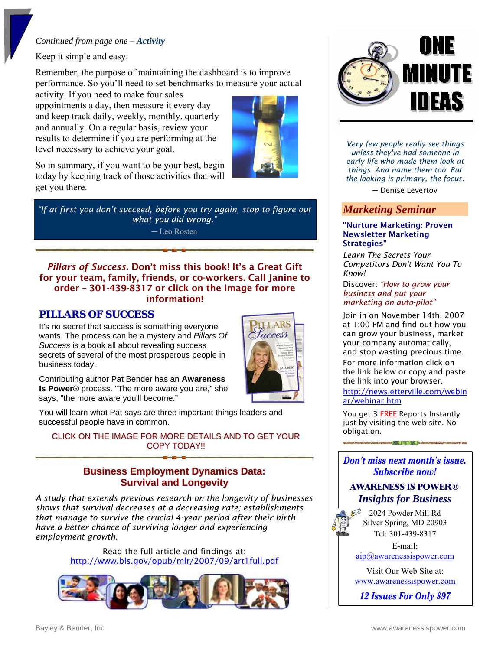#### *Continued from page one – Activity*

Keep it simple and easy.

Remember, the purpose of maintaining the dashboard is to improve performance. So you'll need to set benchmarks to measure your actual

activity. If you need to make four sales appointments a day, then measure it every day and keep track daily, weekly, monthly, quarterly and annually. On a regular basis, review your results to determine if you are performing at the level necessary to achieve your goal.



So in summary, if you want to be your best, begin today by keeping track of those activities that will get you there.

*"If at first you don't succeed, before you try again, stop to figure out what you did wrong."* ─ Leo Rosten

#### *Pillars of Success.* Don't miss this book! It's a Great Gift for your team, family, friends, or co-workers. Call Janine to order – 301-439-8317 or click on the image for more information!

#### **PILLARS OF SUCCESS**

It's no secret that success is something everyone wants. The process can be a mystery and *Pillars Of Success* is a book all about revealing success secrets of several of the most prosperous people in business today.



Contributing author Pat Bender has an **Awareness Is Power**® process. "The more aware you are," she says, "the more aware you'll become."

You will learn what Pat says are three important things leaders and successful people have in common.

#### CLICK ON THE IMAGE FOR MORE DETAILS AND TO GET YOUR COPY TODAY!!

#### **Business Employment Dynamics Data: Survival and Longevity**

*A study that extends previous research on the longevity of businesses shows that survival decreases at a decreasing rate; establishments that manage to survive the crucial 4-year period after their birth have a better chance of surviving longer and experiencing employment growth.*

> Read the full article and findings at: <http://www.bls.gov/opub/mlr/2007/09/art1full.pdf>





*Very few people really see things unless they've had someone in early life who made them look at things. And name them too. But the looking is primary, the focus.* 

─ Denise Levertov

#### *Marketing Seminar*

#### "Nurture Marketing: Proven Newsletter Marketing Strategies"

*Learn The Secrets Your Competitors Don't Want You To Know!*

#### Discover: *"How to grow your business and put your marketing on auto-pilot"*

Join in on November 14th, 2007 at 1:00 PM and find out how you can grow your business, market your company automatically, and stop wasting precious time. For more information click on the link below or copy and paste the link into your browser. [http://newsletterville.com/webin](http://newsletterville.com/webinar/webinar.htm)

[ar/webinar.htm](http://newsletterville.com/webinar/webinar.htm)

You get 3 FREE Reports Instantly just by visiting the web site. No obligation.

#### Don't miss next month's issue. Subscribe now!

*Milley Allen Milley* 

#### **AWARENESS IS POWER®** *Insights for Business*

2024 Powder Mill Rd Silver Spring, MD 20903 Tel: 301-439-8317

E-mail: [aip@awarenessispower.com](mailto:aip@awarenessispower.com)

Visit Our Web Site at: [www.awarenessispower.com](http://www.awarenessispower.com/)

12 **Issues For Only \$97**